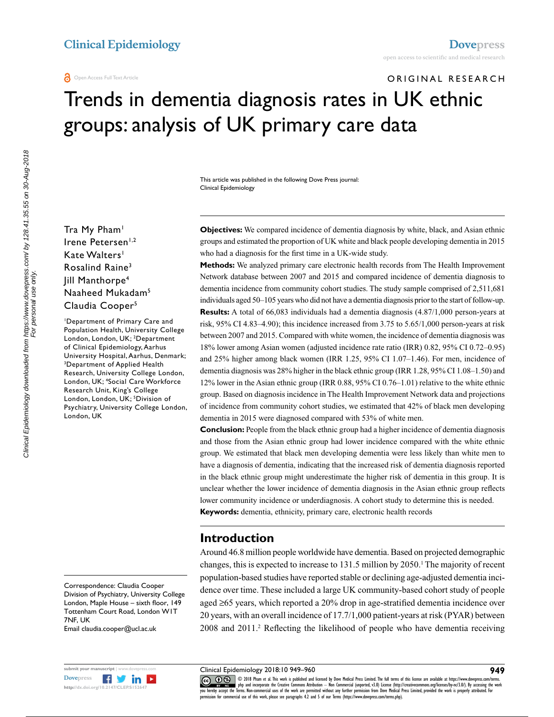# ORIGINAL RESEARCH Trends in dementia diagnosis rates in UK ethnic groups: analysis of UK primary care data

This article was published in the following Dove Press journal: Clinical Epidemiology

Tra My Pham<sup>1</sup> Irene Petersen<sup>1,2</sup> Kate Walters<sup>1</sup> Rosalind Raine<sup>3</sup> Jill Manthorpe4 Naaheed Mukadam5 Claudia Cooper<sup>5</sup>

1 Department of Primary Care and Population Health, University College London, London, UK; 2 Department of Clinical Epidemiology, Aarhus University Hospital, Aarhus, Denmark; 3 Department of Applied Health Research, University College London, London, UK; 4 Social Care Workforce Research Unit, King's College London, London, UK; <sup>5</sup>Division of Psychiatry, University College London, London, UK

Correspondence: Claudia Cooper Division of Psychiatry, University College London, Maple House – sixth floor, 149 Tottenham Court Road, London W1T 7NF, UK

Email claudia.cooper@ucl.ac.uk



**Objectives:** We compared incidence of dementia diagnosis by white, black, and Asian ethnic groups and estimated the proportion of UK white and black people developing dementia in 2015 who had a diagnosis for the first time in a UK-wide study.

**Methods:** We analyzed primary care electronic health records from The Health Improvement Network database between 2007 and 2015 and compared incidence of dementia diagnosis to dementia incidence from community cohort studies. The study sample comprised of 2,511,681 individuals aged 50–105 years who did not have a dementia diagnosis prior to the start of follow-up. **Results:** A total of 66,083 individuals had a dementia diagnosis (4.87/1,000 person-years at risk, 95% CI 4.83–4.90); this incidence increased from 3.75 to 5.65/1,000 person-years at risk between 2007 and 2015. Compared with white women, the incidence of dementia diagnosis was 18% lower among Asian women (adjusted incidence rate ratio (IRR) 0.82, 95% CI 0.72–0.95) and 25% higher among black women (IRR 1.25, 95% CI 1.07–1.46). For men, incidence of dementia diagnosis was 28% higher in the black ethnic group (IRR 1.28, 95% CI 1.08–1.50) and 12% lower in the Asian ethnic group (IRR 0.88, 95% CI 0.76–1.01) relative to the white ethnic group. Based on diagnosis incidence in The Health Improvement Network data and projections of incidence from community cohort studies, we estimated that 42% of black men developing dementia in 2015 were diagnosed compared with 53% of white men.

**Conclusion:** People from the black ethnic group had a higher incidence of dementia diagnosis and those from the Asian ethnic group had lower incidence compared with the white ethnic group. We estimated that black men developing dementia were less likely than white men to have a diagnosis of dementia, indicating that the increased risk of dementia diagnosis reported in the black ethnic group might underestimate the higher risk of dementia in this group. It is unclear whether the lower incidence of dementia diagnosis in the Asian ethnic group reflects lower community incidence or underdiagnosis. A cohort study to determine this is needed. **Keywords:** dementia, ethnicity, primary care, electronic health records

#### **Introduction**

Around 46.8 million people worldwide have dementia. Based on projected demographic changes, this is expected to increase to 131.5 million by 2050.<sup>1</sup> The majority of recent population-based studies have reported stable or declining age-adjusted dementia incidence over time. These included a large UK community-based cohort study of people aged ≥65 years, which reported a 20% drop in age-stratified dementia incidence over 20 years, with an overall incidence of 17.7/1,000 patient-years at risk (PYAR) between 2008 and 2011.<sup>2</sup> Reflecting the likelihood of people who have dementia receiving

Clinical Epidemiology 2018:10 949–960

CO 18 Pham et al. This work is published and licensed by Dove Medical Press Limited. The full terms of this license are available at https://www.dovepress.com/terms.<br>Vou hereby accept the Terms. Non-commercial uses of the permission for commercial use of this work, please see paragraphs 4.2 and 5 of our Terms (https://www.dovepress.com/terms.php).

**949**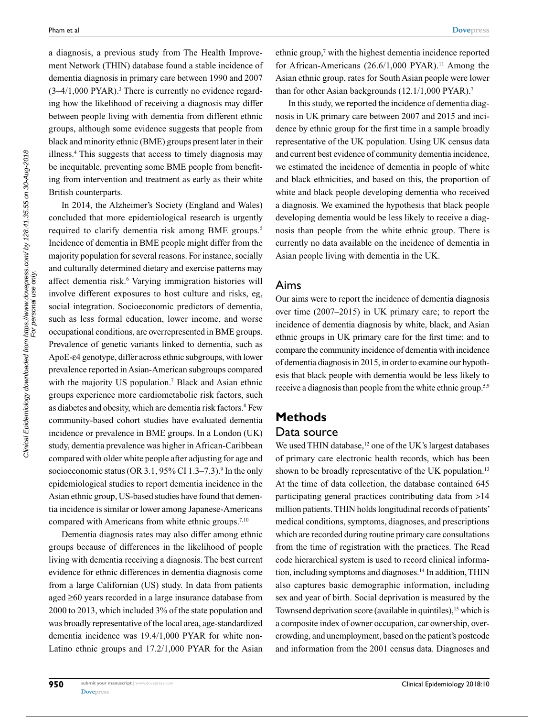a diagnosis, a previous study from The Health Improvement Network (THIN) database found a stable incidence of dementia diagnosis in primary care between 1990 and 2007  $(3-4/1,000 \text{ PYAR})$ .<sup>3</sup> There is currently no evidence regarding how the likelihood of receiving a diagnosis may differ between people living with dementia from different ethnic groups, although some evidence suggests that people from black and minority ethnic (BME) groups present later in their illness.4 This suggests that access to timely diagnosis may be inequitable, preventing some BME people from benefiting from intervention and treatment as early as their white British counterparts.

In 2014, the Alzheimer's Society (England and Wales) concluded that more epidemiological research is urgently required to clarify dementia risk among BME groups.<sup>5</sup> Incidence of dementia in BME people might differ from the majority population for several reasons. For instance, socially and culturally determined dietary and exercise patterns may affect dementia risk.<sup>6</sup> Varying immigration histories will involve different exposures to host culture and risks, eg, social integration. Socioeconomic predictors of dementia, such as less formal education, lower income, and worse occupational conditions, are overrepresented in BME groups. Prevalence of genetic variants linked to dementia, such as ApoE-e4 genotype, differ across ethnic subgroups, with lower prevalence reported in Asian-American subgroups compared with the majority US population.<sup>7</sup> Black and Asian ethnic groups experience more cardiometabolic risk factors, such as diabetes and obesity, which are dementia risk factors.<sup>8</sup> Few community-based cohort studies have evaluated dementia incidence or prevalence in BME groups. In a London (UK) study, dementia prevalence was higher in African-Caribbean compared with older white people after adjusting for age and socioeconomic status (OR 3.1, 95% CI 1.3–7.3).<sup>9</sup> In the only epidemiological studies to report dementia incidence in the Asian ethnic group, US-based studies have found that dementia incidence is similar or lower among Japanese-Americans compared with Americans from white ethnic groups.<sup>7,10</sup>

Dementia diagnosis rates may also differ among ethnic groups because of differences in the likelihood of people living with dementia receiving a diagnosis. The best current evidence for ethnic differences in dementia diagnosis come from a large Californian (US) study. In data from patients aged ≥60 years recorded in a large insurance database from 2000 to 2013, which included 3% of the state population and was broadly representative of the local area, age-standardized dementia incidence was 19.4/1,000 PYAR for white non-Latino ethnic groups and 17.2/1,000 PYAR for the Asian

ethnic group, $\frac{7}{7}$  with the highest dementia incidence reported for African-Americans  $(26.6/1,000 \text{ PYAR})$ .<sup>11</sup> Among the Asian ethnic group, rates for South Asian people were lower than for other Asian backgrounds (12.1/1,000 PYAR).<sup>7</sup>

In this study, we reported the incidence of dementia diagnosis in UK primary care between 2007 and 2015 and incidence by ethnic group for the first time in a sample broadly representative of the UK population. Using UK census data and current best evidence of community dementia incidence, we estimated the incidence of dementia in people of white and black ethnicities, and based on this, the proportion of white and black people developing dementia who received a diagnosis. We examined the hypothesis that black people developing dementia would be less likely to receive a diagnosis than people from the white ethnic group. There is currently no data available on the incidence of dementia in Asian people living with dementia in the UK.

#### Aims

Our aims were to report the incidence of dementia diagnosis over time (2007–2015) in UK primary care; to report the incidence of dementia diagnosis by white, black, and Asian ethnic groups in UK primary care for the first time; and to compare the community incidence of dementia with incidence of dementia diagnosis in 2015, in order to examine our hypothesis that black people with dementia would be less likely to receive a diagnosis than people from the white ethnic group.<sup>5,9</sup>

# **Methods** Data source

We used THIN database, $12$  one of the UK's largest databases of primary care electronic health records, which has been shown to be broadly representative of the UK population.<sup>13</sup> At the time of data collection, the database contained 645 participating general practices contributing data from >14 million patients. THIN holds longitudinal records of patients' medical conditions, symptoms, diagnoses, and prescriptions which are recorded during routine primary care consultations from the time of registration with the practices. The Read code hierarchical system is used to record clinical information, including symptoms and diagnoses.14 In addition, THIN also captures basic demographic information, including sex and year of birth. Social deprivation is measured by the Townsend deprivation score (available in quintiles),<sup>15</sup> which is a composite index of owner occupation, car ownership, overcrowding, and unemployment, based on the patient's postcode and information from the 2001 census data. Diagnoses and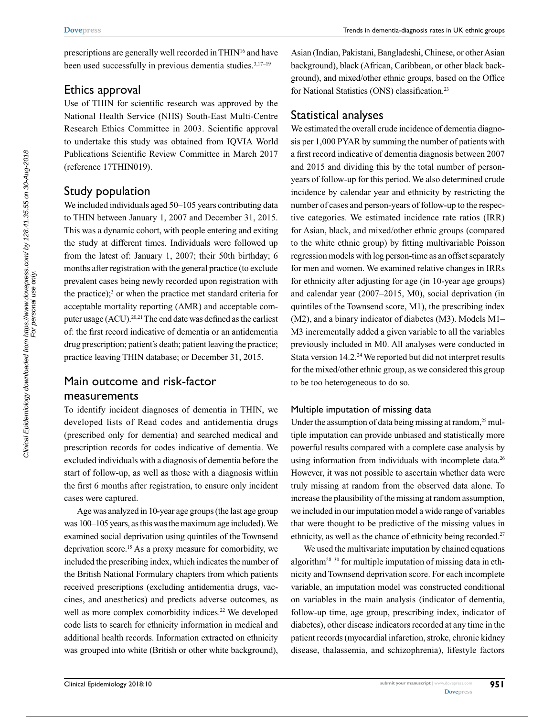prescriptions are generally well recorded in THIN16 and have been used successfully in previous dementia studies.<sup>3,17–19</sup>

#### Ethics approval

Use of THIN for scientific research was approved by the National Health Service (NHS) South-East Multi-Centre Research Ethics Committee in 2003. Scientific approval to undertake this study was obtained from IQVIA World Publications Scientific Review Committee in March 2017 (reference 17THIN019).

#### Study population

We included individuals aged 50–105 years contributing data to THIN between January 1, 2007 and December 31, 2015. This was a dynamic cohort, with people entering and exiting the study at different times. Individuals were followed up from the latest of: January 1, 2007; their 50th birthday; 6 months after registration with the general practice (to exclude prevalent cases being newly recorded upon registration with the practice);3 or when the practice met standard criteria for acceptable mortality reporting (AMR) and acceptable computer usage (ACU).<sup>20,21</sup> The end date was defined as the earliest of: the first record indicative of dementia or an antidementia drug prescription; patient's death; patient leaving the practice; practice leaving THIN database; or December 31, 2015.

# Main outcome and risk-factor measurements

To identify incident diagnoses of dementia in THIN, we developed lists of Read codes and antidementia drugs (prescribed only for dementia) and searched medical and prescription records for codes indicative of dementia. We excluded individuals with a diagnosis of dementia before the start of follow-up, as well as those with a diagnosis within the first 6 months after registration, to ensure only incident cases were captured.

Age was analyzed in 10-year age groups (the last age group was 100–105 years, as this was the maximum age included). We examined social deprivation using quintiles of the Townsend deprivation score.15 As a proxy measure for comorbidity, we included the prescribing index, which indicates the number of the British National Formulary chapters from which patients received prescriptions (excluding antidementia drugs, vaccines, and anesthetics) and predicts adverse outcomes, as well as more complex comorbidity indices.<sup>22</sup> We developed code lists to search for ethnicity information in medical and additional health records. Information extracted on ethnicity was grouped into white (British or other white background),

Asian (Indian, Pakistani, Bangladeshi, Chinese, or other Asian background), black (African, Caribbean, or other black background), and mixed/other ethnic groups, based on the Office for National Statistics (ONS) classification.23

# Statistical analyses

We estimated the overall crude incidence of dementia diagnosis per 1,000 PYAR by summing the number of patients with a first record indicative of dementia diagnosis between 2007 and 2015 and dividing this by the total number of personyears of follow-up for this period. We also determined crude incidence by calendar year and ethnicity by restricting the number of cases and person-years of follow-up to the respective categories. We estimated incidence rate ratios (IRR) for Asian, black, and mixed/other ethnic groups (compared to the white ethnic group) by fitting multivariable Poisson regression models with log person-time as an offset separately for men and women. We examined relative changes in IRRs for ethnicity after adjusting for age (in 10-year age groups) and calendar year (2007–2015, M0), social deprivation (in quintiles of the Townsend score, M1), the prescribing index (M2), and a binary indicator of diabetes (M3). Models M1– M3 incrementally added a given variable to all the variables previously included in M0. All analyses were conducted in Stata version 14.2.<sup>24</sup> We reported but did not interpret results for the mixed/other ethnic group, as we considered this group to be too heterogeneous to do so.

#### Multiple imputation of missing data

Under the assumption of data being missing at random, $25$  multiple imputation can provide unbiased and statistically more powerful results compared with a complete case analysis by using information from individuals with incomplete data.<sup>26</sup> However, it was not possible to ascertain whether data were truly missing at random from the observed data alone. To increase the plausibility of the missing at random assumption, we included in our imputation model a wide range of variables that were thought to be predictive of the missing values in ethnicity, as well as the chance of ethnicity being recorded.<sup>27</sup>

We used the multivariate imputation by chained equations algorithm28–30 for multiple imputation of missing data in ethnicity and Townsend deprivation score. For each incomplete variable, an imputation model was constructed conditional on variables in the main analysis (indicator of dementia, follow-up time, age group, prescribing index, indicator of diabetes), other disease indicators recorded at any time in the patient records (myocardial infarction, stroke, chronic kidney disease, thalassemia, and schizophrenia), lifestyle factors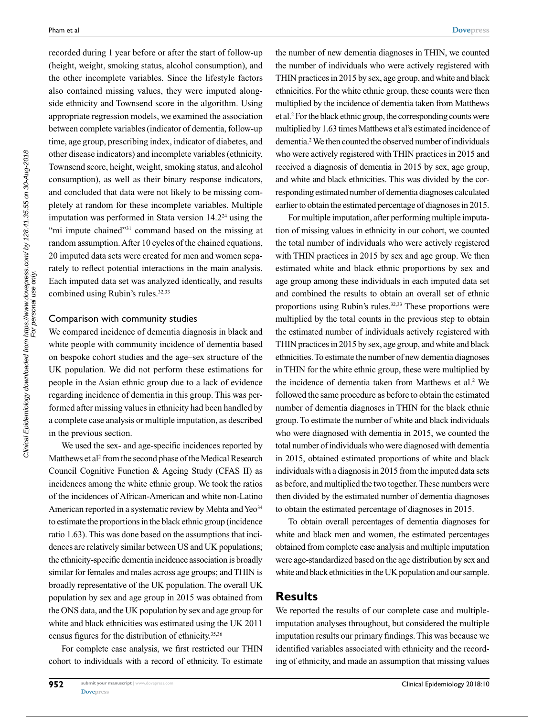recorded during 1 year before or after the start of follow-up (height, weight, smoking status, alcohol consumption), and the other incomplete variables. Since the lifestyle factors also contained missing values, they were imputed alongside ethnicity and Townsend score in the algorithm. Using appropriate regression models, we examined the association between complete variables (indicator of dementia, follow-up time, age group, prescribing index, indicator of diabetes, and other disease indicators) and incomplete variables (ethnicity, Townsend score, height, weight, smoking status, and alcohol consumption), as well as their binary response indicators, and concluded that data were not likely to be missing completely at random for these incomplete variables. Multiple imputation was performed in Stata version 14.224 using the "mi impute chained"<sup>31</sup> command based on the missing at random assumption. After 10 cycles of the chained equations, 20 imputed data sets were created for men and women separately to reflect potential interactions in the main analysis. Each imputed data set was analyzed identically, and results combined using Rubin's rules.<sup>32,33</sup>

#### Comparison with community studies

We compared incidence of dementia diagnosis in black and white people with community incidence of dementia based on bespoke cohort studies and the age–sex structure of the UK population. We did not perform these estimations for people in the Asian ethnic group due to a lack of evidence regarding incidence of dementia in this group. This was performed after missing values in ethnicity had been handled by a complete case analysis or multiple imputation, as described in the previous section.

We used the sex- and age-specific incidences reported by Matthews et al<sup>2</sup> from the second phase of the Medical Research Council Cognitive Function & Ageing Study (CFAS II) as incidences among the white ethnic group. We took the ratios of the incidences of African-American and white non-Latino American reported in a systematic review by Mehta and Yeo<sup>34</sup> to estimate the proportions in the black ethnic group (incidence ratio 1.63). This was done based on the assumptions that incidences are relatively similar between US and UK populations; the ethnicity-specific dementia incidence association is broadly similar for females and males across age groups; and THIN is broadly representative of the UK population. The overall UK population by sex and age group in 2015 was obtained from the ONS data, and the UK population by sex and age group for white and black ethnicities was estimated using the UK 2011 census figures for the distribution of ethnicity.<sup>35,36</sup>

For complete case analysis, we first restricted our THIN cohort to individuals with a record of ethnicity. To estimate the number of new dementia diagnoses in THIN, we counted the number of individuals who were actively registered with THIN practices in 2015 by sex, age group, and white and black ethnicities. For the white ethnic group, these counts were then multiplied by the incidence of dementia taken from Matthews et al.2 For the black ethnic group, the corresponding counts were multiplied by 1.63 times Matthews et al's estimated incidence of dementia.2 We then counted the observed number of individuals who were actively registered with THIN practices in 2015 and received a diagnosis of dementia in 2015 by sex, age group, and white and black ethnicities. This was divided by the corresponding estimated number of dementia diagnoses calculated earlier to obtain the estimated percentage of diagnoses in 2015.

For multiple imputation, after performing multiple imputation of missing values in ethnicity in our cohort, we counted the total number of individuals who were actively registered with THIN practices in 2015 by sex and age group. We then estimated white and black ethnic proportions by sex and age group among these individuals in each imputed data set and combined the results to obtain an overall set of ethnic proportions using Rubin's rules.<sup>32,33</sup> These proportions were multiplied by the total counts in the previous step to obtain the estimated number of individuals actively registered with THIN practices in 2015 by sex, age group, and white and black ethnicities. To estimate the number of new dementia diagnoses in THIN for the white ethnic group, these were multiplied by the incidence of dementia taken from Matthews et al.<sup>2</sup> We followed the same procedure as before to obtain the estimated number of dementia diagnoses in THIN for the black ethnic group. To estimate the number of white and black individuals who were diagnosed with dementia in 2015, we counted the total number of individuals who were diagnosed with dementia in 2015, obtained estimated proportions of white and black individuals with a diagnosis in 2015 from the imputed data sets as before, and multiplied the two together. These numbers were then divided by the estimated number of dementia diagnoses to obtain the estimated percentage of diagnoses in 2015.

To obtain overall percentages of dementia diagnoses for white and black men and women, the estimated percentages obtained from complete case analysis and multiple imputation were age-standardized based on the age distribution by sex and white and black ethnicities in the UK population and our sample.

#### **Results**

We reported the results of our complete case and multipleimputation analyses throughout, but considered the multiple imputation results our primary findings. This was because we identified variables associated with ethnicity and the recording of ethnicity, and made an assumption that missing values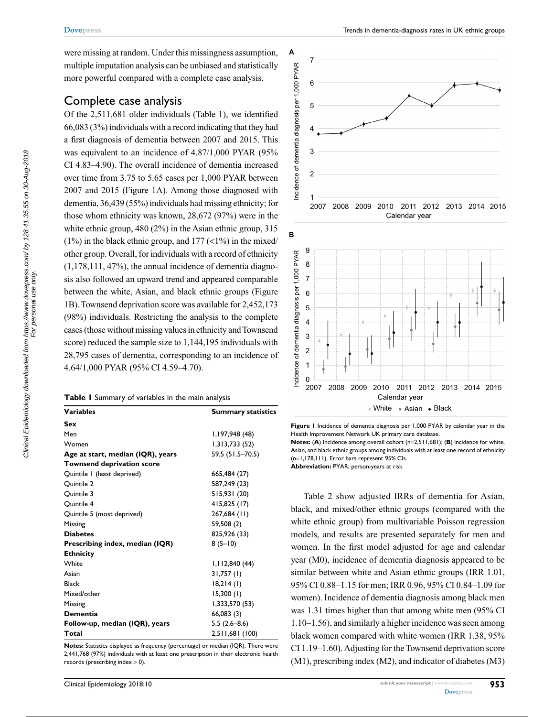were missing at random. Under this missingness assumption, multiple imputation analysis can be unbiased and statistically more powerful compared with a complete case analysis.

# Complete case analysis

Of the 2,511,681 older individuals (Table 1), we identified 66,083 (3%) individuals with a record indicating that they had a first diagnosis of dementia between 2007 and 2015. This was equivalent to an incidence of 4.87/1,000 PYAR (95% CI 4.83–4.90). The overall incidence of dementia increased over time from 3.75 to 5.65 cases per 1,000 PYAR between 2007 and 2015 (Figure 1A). Among those diagnosed with dementia, 36,439 (55%) individuals had missing ethnicity; for those whom ethnicity was known, 28,672 (97%) were in the white ethnic group, 480 (2%) in the Asian ethnic group, 315  $(1\%)$  in the black ethnic group, and  $177$  (<1%) in the mixed/ other group. Overall, for individuals with a record of ethnicity (1,178,111, 47%), the annual incidence of dementia diagnosis also followed an upward trend and appeared comparable between the white, Asian, and black ethnic groups (Figure 1B). Townsend deprivation score was available for 2,452,173 (98%) individuals. Restricting the analysis to the complete cases (those without missing values in ethnicity and Townsend score) reduced the sample size to 1,144,195 individuals with 28,795 cases of dementia, corresponding to an incidence of 4.64/1,000 PYAR (95% CI 4.59–4.70).

|  |  | Table I Summary of variables in the main analysis |  |  |
|--|--|---------------------------------------------------|--|--|
|--|--|---------------------------------------------------|--|--|

| Variables                         | <b>Summary statistics</b> |
|-----------------------------------|---------------------------|
| Sex                               |                           |
| Men                               | 1,197,948 (48)            |
| Women                             | 1,313,733(52)             |
| Age at start, median (IQR), years | 59.5 (51.5-70.5)          |
| <b>Townsend deprivation score</b> |                           |
| Quintile I (least deprived)       | 665,484 (27)              |
| Quintile 2                        | 587,249 (23)              |
| Quintile 3                        | 515,931 (20)              |
| Quintile 4                        | 415,825 (17)              |
| Quintile 5 (most deprived)        | 267,684 (11)              |
| Missing                           | 59,508 (2)                |
| <b>Diabetes</b>                   | 825,926 (33)              |
| Prescribing index, median (IQR)   | $8(5-10)$                 |
| <b>Ethnicity</b>                  |                           |
| White                             | 1,112,840(44)             |
| Asian                             | 31,757(1)                 |
| <b>Black</b>                      | 18,214(1)                 |
| Mixed/other                       | 15,300(1)                 |
| Missing                           | 1,333,570 (53)            |
| Dementia                          | 66,083(3)                 |
| Follow-up, median (IQR), years    | $5.5(2.6 - 8.6)$          |
| Total                             | 2,511,681 (100)           |

**Notes:** Statistics displayed as frequency (percentage) or median (IQR). There were 2,441,768 (97%) individuals with at least one prescription in their electronic health records (prescribing index > 0).



**Figure 1** Incidence of dementia diagnosis per 1,000 PYAR by calendar year in the Health Improvement Network UK primary care database. **Notes:** (**A**) Incidence among overall cohort (n=2,511,681); (**B**) incidence for white, Asian, and black ethnic groups among individuals with at least one record of ethnicity (n=1,178,111). Error bars represent 95% CIs.

**Abbreviation:** PYAR, person-years at risk.

Table 2 show adjusted IRRs of dementia for Asian, black, and mixed/other ethnic groups (compared with the white ethnic group) from multivariable Poisson regression models, and results are presented separately for men and women. In the first model adjusted for age and calendar year (M0), incidence of dementia diagnosis appeared to be similar between white and Asian ethnic groups (IRR 1.01, 95% CI 0.88–1.15 for men; IRR 0.96, 95% CI 0.84–1.09 for women). Incidence of dementia diagnosis among black men was 1.31 times higher than that among white men (95% CI 1.10–1.56), and similarly a higher incidence was seen among black women compared with white women (IRR 1.38, 95% CI 1.19–1.60). Adjusting for the Townsend deprivation score (M1), prescribing index (M2), and indicator of diabetes (M3)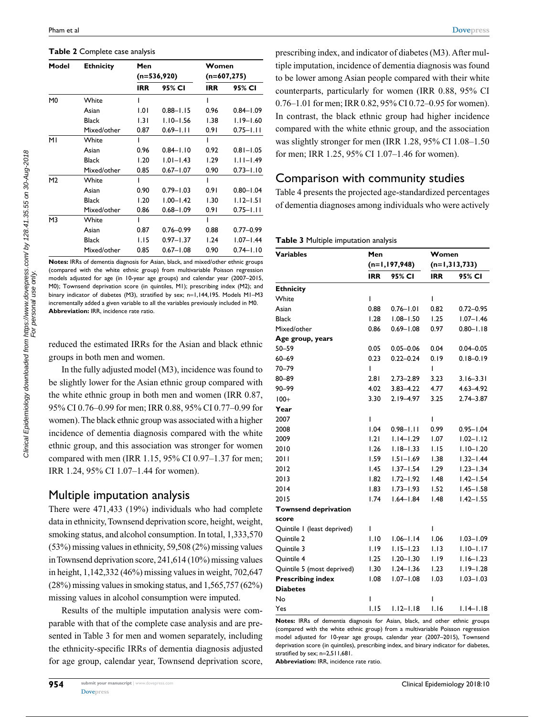#### **Table 2** Complete case analysis

| Model          | <b>Ethnicity</b> | Men        | $(n=536,920)$ | Women<br>$(n=607, 275)$ |               |  |
|----------------|------------------|------------|---------------|-------------------------|---------------|--|
|                |                  | <b>IRR</b> | 95% CI        | <b>IRR</b>              | 95% CI        |  |
| M <sub>0</sub> | White            | ı          |               | ı                       |               |  |
|                | Asian            | 1.01       | $0.88 - 1.15$ | 0.96                    | $0.84 - 1.09$ |  |
|                | <b>Black</b>     | 1.31       | $1.10 - 1.56$ | 1.38                    | $1.19 - 1.60$ |  |
|                | Mixed/other      | 0.87       | $0.69 - 1.11$ | 0.91                    | $0.75 - 1.11$ |  |
| MI             | White            |            |               |                         |               |  |
|                | Asian            | 0.96       | $0.84 - 1.10$ | 0.92                    | $0.81 - 1.05$ |  |
|                | <b>Black</b>     | 1.20       | $1.01 - 1.43$ | 1.29                    | $1.11 - 1.49$ |  |
|                | Mixed/other      | 0.85       | $0.67 - 1.07$ | 0.90                    | $0.73 - 1.10$ |  |
| M <sub>2</sub> | White            | ı          |               | ı                       |               |  |
|                | Asian            | 0.90       | $0.79 - 1.03$ | 0.91                    | $0.80 - 1.04$ |  |
|                | <b>Black</b>     | 1.20       | $1.00 - 1.42$ | 1.30                    | $1.12 - 1.51$ |  |
|                | Mixed/other      | 0.86       | $0.68 - 1.09$ | 0.91                    | $0.75 - 1.11$ |  |
| M3             | White            |            |               |                         |               |  |
|                | Asian            | 0.87       | 0.76-0.99     | 0.88                    | $0.77 - 0.99$ |  |
|                | <b>Black</b>     | 1.15       | $0.97 - 1.37$ | 1.24                    | $1.07 - 1.44$ |  |
|                | Mixed/other      | 0.85       | $0.67 - 1.08$ | 0.90                    | $0.74 - 1.10$ |  |

**Notes:** IRRs of dementia diagnosis for Asian, black, and mixed/other ethnic groups (compared with the white ethnic group) from multivariable Poisson regression models adjusted for age (in 10-year age groups) and calendar year (2007–2015, M0); Townsend deprivation score (in quintiles, M1); prescribing index (M2); and binary indicator of diabetes (M3), stratified by sex; n=1,144,195. Models M1-M3 incrementally added a given variable to all the variables previously included in M0. **Abbreviation:** IRR, incidence rate ratio.

reduced the estimated IRRs for the Asian and black ethnic groups in both men and women.

In the fully adjusted model (M3), incidence was found to be slightly lower for the Asian ethnic group compared with the white ethnic group in both men and women (IRR 0.87, 95% CI 0.76–0.99 for men; IRR 0.88, 95% CI 0.77–0.99 for women). The black ethnic group was associated with a higher incidence of dementia diagnosis compared with the white ethnic group, and this association was stronger for women compared with men (IRR 1.15, 95% CI 0.97–1.37 for men; IRR 1.24, 95% CI 1.07–1.44 for women).

#### Multiple imputation analysis

There were 471,433 (19%) individuals who had complete data in ethnicity, Townsend deprivation score, height, weight, smoking status, and alcohol consumption. In total, 1,333,570 (53%) missing values in ethnicity, 59,508 (2%) missing values in Townsend deprivation score, 241,614 (10%) missing values in height, 1,142,332 (46%) missing values in weight, 702,647 (28%) missing values in smoking status, and 1,565,757 (62%) missing values in alcohol consumption were imputed.

Results of the multiple imputation analysis were comparable with that of the complete case analysis and are presented in Table 3 for men and women separately, including the ethnicity-specific IRRs of dementia diagnosis adjusted for age group, calendar year, Townsend deprivation score, prescribing index, and indicator of diabetes (M3). After multiple imputation, incidence of dementia diagnosis was found to be lower among Asian people compared with their white counterparts, particularly for women (IRR 0.88, 95% CI 0.76–1.01 for men; IRR 0.82, 95% CI 0.72–0.95 for women). In contrast, the black ethnic group had higher incidence compared with the white ethnic group, and the association was slightly stronger for men (IRR 1.28, 95% CI 1.08–1.50 for men; IRR 1.25, 95% CI 1.07–1.46 for women).

#### Comparison with community studies

Table 4 presents the projected age-standardized percentages of dementia diagnoses among individuals who were actively

| <b>Variables</b>            | Men        |                 |                 | Women         |  |  |
|-----------------------------|------------|-----------------|-----------------|---------------|--|--|
|                             |            | $(n=1,197,948)$ | $(n=1,313,733)$ |               |  |  |
|                             | <b>IRR</b> | 95% CI          | <b>IRR</b>      | 95% CI        |  |  |
| <b>Ethnicity</b>            |            |                 |                 |               |  |  |
| White                       | ı          |                 | ı               |               |  |  |
| Asian                       | 0.88       | $0.76 - 1.01$   | 0.82            | $0.72 - 0.95$ |  |  |
| <b>Black</b>                | 1.28       | $1.08 - 1.50$   | 1.25            | $1.07 - 1.46$ |  |  |
| Mixed/other                 | 0.86       | $0.69 - 1.08$   | 0.97            | $0.80 - 1.18$ |  |  |
| Age group, years            |            |                 |                 |               |  |  |
| $50 - 59$                   | 0.05       | $0.05 - 0.06$   | 0.04            | $0.04 - 0.05$ |  |  |
| $60 - 69$                   | 0.23       | $0.22 - 0.24$   | 0.19            | $0.18 - 0.19$ |  |  |
| 70-79                       | T          |                 | T               |               |  |  |
| 80-89                       | 2.81       | $2.73 - 2.89$   | 3.23            | $3.16 - 3.31$ |  |  |
| 90-99                       | 4.02       | $3.83 - 4.22$   | 4.77            | $4.63 - 4.92$ |  |  |
| $100+$                      | 3.30       | $2.19 - 4.97$   | 3.25            | $2.74 - 3.87$ |  |  |
| Year                        |            |                 |                 |               |  |  |
| 2007                        | L          |                 | I               |               |  |  |
| 2008                        | 1.04       | $0.98 - 1.11$   | 0.99            | $0.95 - 1.04$ |  |  |
| 2009                        | 1.21       | $1.14 - 1.29$   | 1.07            | $1.02 - 1.12$ |  |  |
| 2010                        | 1.26       | $1.18 - 1.33$   | 1.15            | $1.10 - 1.20$ |  |  |
| 20 I I                      | 1.59       | $1.51 - 1.69$   | 1.38            | $1.32 - 1.44$ |  |  |
| 2012                        | 1.45       | $1.37 - 1.54$   | 1.29            | $1.23 - 1.34$ |  |  |
| 2013                        | 1.82       | $1.72 - 1.92$   | 1.48            | $1.42 - 1.54$ |  |  |
| 2014                        | 1.83       | $1.73 - 1.93$   | 1.52            | $1.45 - 1.58$ |  |  |
| 2015                        | 1.74       | $1.64 - 1.84$   | 1.48            | $1.42 - 1.55$ |  |  |
| <b>Townsend deprivation</b> |            |                 |                 |               |  |  |
| score                       |            |                 |                 |               |  |  |
| Quintile I (least deprived) | I          |                 | I               |               |  |  |
| Quintile 2                  | 1.10       | $1.06 - 1.14$   | 1.06            | $1.03 - 1.09$ |  |  |
| Quintile 3                  | I.I9       | $1.15 - 1.23$   | 1.13            | $1.10 - 1.17$ |  |  |
| Quintile 4                  | 1.25       | $1.20 - 1.30$   | 1.19            | $1.16 - 1.23$ |  |  |
| Quintile 5 (most deprived)  | 1.30       | $1.24 - 1.36$   | 1.23            | $1.19 - 1.28$ |  |  |
| <b>Prescribing index</b>    | 0.1        | $1.07 - 1.08$   | 1.03            | $1.03 - 1.03$ |  |  |
| <b>Diabetes</b>             |            |                 |                 |               |  |  |
| No                          | I          |                 | I               |               |  |  |
| Yes                         | 1.15       | $1.12 - 1.18$   | 1.16            | $1.14 - 1.18$ |  |  |

**Notes:** IRRs of dementia diagnosis for Asian, black, and other ethnic groups (compared with the white ethnic group) from a multivariable Poisson regression model adjusted for 10-year age groups, calendar year (2007–2015), Townsend deprivation score (in quintiles), prescribing index, and binary indicator for diabetes, stratified by sex; n=2,511,681.

**Abbreviation:** IRR, incidence rate ratio.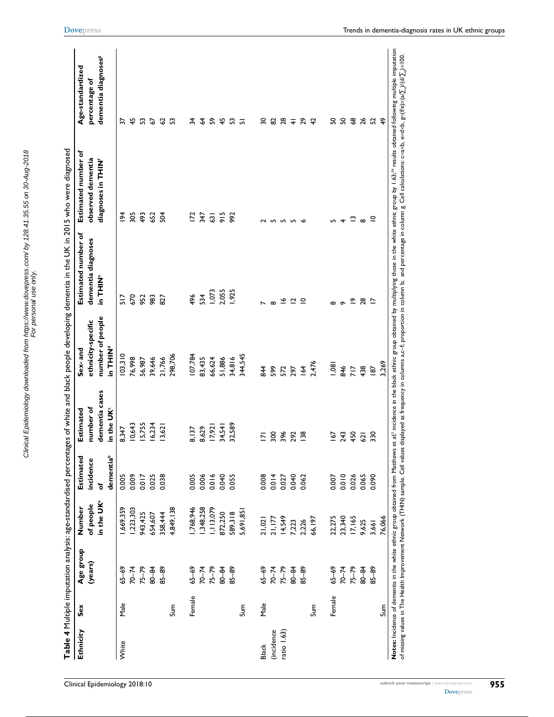| Ethnicity    | šex    | Age group | Number                 | Estimated      | Estimated                                | Sex-and                         | Estimated number of | Estimated number of      | Age-standardized                |
|--------------|--------|-----------|------------------------|----------------|------------------------------------------|---------------------------------|---------------------|--------------------------|---------------------------------|
|              |        | (years)   | of people              | incidence      | number of                                | ethnicity-specific              | dementia diagnoses  | observed dementia        | percentage of                   |
|              |        |           | in the UK <sup>a</sup> | dementiab<br>৳ | dementia cases<br>in the UK <sup>c</sup> | number of people<br>PNIHT<br>LE | in THIL<br>L        | diagnoses in THIN'       | dementia diagnoses <sup>g</sup> |
| White        | Male   | $65 - 69$ | 1,669,359              | 0.005          | 8,347                                    | 03,3 0                          | 517                 | $\overline{2}$           | ₷                               |
|              |        | $70 - 74$ | ,223,303               | 0.009          | 10,643                                   | 76,998                          | 670                 | 305                      | $\frac{45}{5}$                  |
|              |        | $75 - 79$ | 943,425                | 0.017          | I5,755                                   | 56,987                          | 952                 | 493                      | 53                              |
|              |        | 80-84     | 654,607                | 0.025          | 16,234                                   | 39,646                          | 983                 | 652                      | $\overline{6}$                  |
|              |        | $85 - 89$ | 358,444                | 0.038          | 13,621                                   | 21,766                          | 827                 | Š                        | 3 53                            |
|              | Sum    |           | 4,849,138              |                |                                          | 298,706                         |                     |                          |                                 |
|              | Female | $65 - 69$ | ,768,946               | 0.005          | 8,137                                    | 107,784                         | 496                 | E,                       | 74                              |
|              |        | $70 - 74$ | ,348,258               | 0.006          | 8,629                                    | 83,435                          | 534                 | 347                      | $\mathcal{L}$                   |
|              |        | $75 - 79$ | 1,113,079              | 0.016          | 17,921                                   | 66,624                          | 1,073               | $\overline{3}$           | S,                              |
|              |        | $80 - 84$ | 872,250                | 0.040          | 34,541                                   | 51,886                          | 2,055               | 915                      | $\frac{45}{4}$                  |
|              |        | $85 - 89$ | 589,318                | 0.055          | 32,589                                   | 34,816                          | 1,925               | 992                      | ္မ                              |
|              | Sum    |           | 5,691,85               |                |                                          | 344,545                         |                     |                          | ᅲ                               |
|              |        |           |                        |                |                                          |                                 |                     |                          |                                 |
| <b>Black</b> | Male   | $65 - 69$ | 21,021                 | 0.008          | $\overline{2}$                           | 844                             |                     | 2 N                      | వ్గ                             |
| (incidence   |        | $70 - 74$ | 21,177                 | 0.014          | 300                                      | 599                             | $\infty$            |                          | 82                              |
| ratio 1.63)  |        | $75 - 79$ | 14,549                 | 0.027          | 396                                      | 572                             | ≗                   | ഗ                        | $\frac{8}{4}$                   |
|              |        | 80-84     | 7,223                  | 0.040          | 292                                      | 297                             | ี่⊇                 | ഹ                        |                                 |
|              |        | $85 - 89$ | 2,226                  | 0.062          | $\frac{8}{2}$                            | $\overline{A}$                  | _⊇                  | ╰                        | <b>ភ</b> ជ                      |
|              | Sum    |           | 66,197                 |                |                                          | 2,476                           |                     |                          |                                 |
|              | Female | $65 - 69$ | 22,275                 | 0.007          | 167                                      | 0.081                           | $\infty$            | LO <sub>1</sub>          | SO                              |
|              |        | $70 - 74$ | 23,340                 | 0.010          | 243                                      | 846                             | $\sigma$            | $\overline{\phantom{a}}$ | SO,                             |
|              |        | $75 - 79$ | 17,165                 | 0.026          | 450                                      | 717                             | ≏                   | $\tilde{ }$              | 3825                            |
|              |        | $80 - 84$ | 9,625                  | 0.065          | $\overline{c}$                           | 438                             | 28                  | $\infty$                 |                                 |
|              |        | $85 - 89$ | 3,661                  | 0.090          | 330                                      | $\overline{8}$                  | ⊵                   | $\subseteq$              |                                 |
|              | Sum    |           | 76,066                 |                |                                          | 3,269                           |                     |                          | $\frac{6}{4}$                   |

Clinical Epidemiology downloaded from https://www.dovepress.com/ by 128.41.35.55 on 30-Aug-2018 For personal use only.

Clinical Epidemiology downloaded from https://www.dovepress.com/ by 128.41.35.55 on 30-Aug-2018<br>For personal use only.

**[Dovepress](www.dovepress.com)**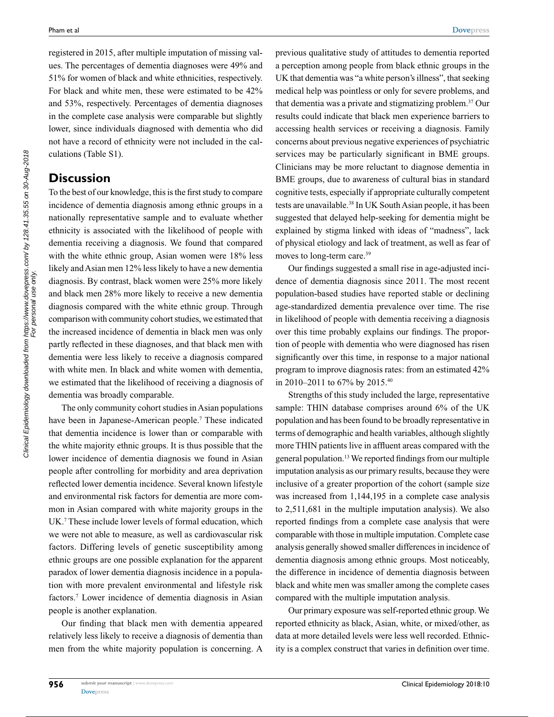registered in 2015, after multiple imputation of missing values. The percentages of dementia diagnoses were 49% and 51% for women of black and white ethnicities, respectively. For black and white men, these were estimated to be 42% and 53%, respectively. Percentages of dementia diagnoses in the complete case analysis were comparable but slightly lower, since individuals diagnosed with dementia who did not have a record of ethnicity were not included in the calculations (Table S1).

## **Discussion**

To the best of our knowledge, this is the first study to compare incidence of dementia diagnosis among ethnic groups in a nationally representative sample and to evaluate whether ethnicity is associated with the likelihood of people with dementia receiving a diagnosis. We found that compared with the white ethnic group, Asian women were 18% less likely and Asian men 12% less likely to have a new dementia diagnosis. By contrast, black women were 25% more likely and black men 28% more likely to receive a new dementia diagnosis compared with the white ethnic group. Through comparison with community cohort studies, we estimated that the increased incidence of dementia in black men was only partly reflected in these diagnoses, and that black men with dementia were less likely to receive a diagnosis compared with white men. In black and white women with dementia, we estimated that the likelihood of receiving a diagnosis of dementia was broadly comparable.

The only community cohort studies in Asian populations have been in Japanese-American people.<sup>7</sup> These indicated that dementia incidence is lower than or comparable with the white majority ethnic groups. It is thus possible that the lower incidence of dementia diagnosis we found in Asian people after controlling for morbidity and area deprivation reflected lower dementia incidence. Several known lifestyle and environmental risk factors for dementia are more common in Asian compared with white majority groups in the UK.<sup>7</sup> These include lower levels of formal education, which we were not able to measure, as well as cardiovascular risk factors. Differing levels of genetic susceptibility among ethnic groups are one possible explanation for the apparent paradox of lower dementia diagnosis incidence in a population with more prevalent environmental and lifestyle risk factors.7 Lower incidence of dementia diagnosis in Asian people is another explanation.

Our finding that black men with dementia appeared relatively less likely to receive a diagnosis of dementia than men from the white majority population is concerning. A

previous qualitative study of attitudes to dementia reported a perception among people from black ethnic groups in the UK that dementia was "a white person's illness", that seeking medical help was pointless or only for severe problems, and that dementia was a private and stigmatizing problem.<sup>37</sup> Our results could indicate that black men experience barriers to accessing health services or receiving a diagnosis. Family concerns about previous negative experiences of psychiatric services may be particularly significant in BME groups. Clinicians may be more reluctant to diagnose dementia in BME groups, due to awareness of cultural bias in standard cognitive tests, especially if appropriate culturally competent tests are unavailable.38 In UK South Asian people, it has been suggested that delayed help-seeking for dementia might be explained by stigma linked with ideas of "madness", lack of physical etiology and lack of treatment, as well as fear of moves to long-term care.39

Our findings suggested a small rise in age-adjusted incidence of dementia diagnosis since 2011. The most recent population-based studies have reported stable or declining age-standardized dementia prevalence over time. The rise in likelihood of people with dementia receiving a diagnosis over this time probably explains our findings. The proportion of people with dementia who were diagnosed has risen significantly over this time, in response to a major national program to improve diagnosis rates: from an estimated 42% in 2010–2011 to 67% by 2015.40

Strengths of this study included the large, representative sample: THIN database comprises around 6% of the UK population and has been found to be broadly representative in terms of demographic and health variables, although slightly more THIN patients live in affluent areas compared with the general population.<sup>13</sup> We reported findings from our multiple imputation analysis as our primary results, because they were inclusive of a greater proportion of the cohort (sample size was increased from 1,144,195 in a complete case analysis to 2,511,681 in the multiple imputation analysis). We also reported findings from a complete case analysis that were comparable with those in multiple imputation. Complete case analysis generally showed smaller differences in incidence of dementia diagnosis among ethnic groups. Most noticeably, the difference in incidence of dementia diagnosis between black and white men was smaller among the complete cases compared with the multiple imputation analysis.

Our primary exposure was self-reported ethnic group. We reported ethnicity as black, Asian, white, or mixed/other, as data at more detailed levels were less well recorded. Ethnicity is a complex construct that varies in definition over time.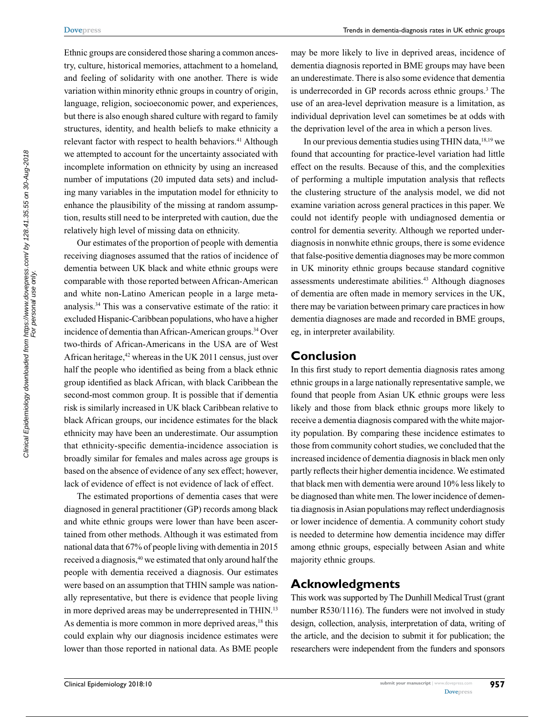Ethnic groups are considered those sharing a common ancestry, culture, historical memories, attachment to a homeland, and feeling of solidarity with one another. There is wide variation within minority ethnic groups in country of origin, language, religion, socioeconomic power, and experiences, but there is also enough shared culture with regard to family structures, identity, and health beliefs to make ethnicity a relevant factor with respect to health behaviors.<sup>41</sup> Although we attempted to account for the uncertainty associated with incomplete information on ethnicity by using an increased number of imputations (20 imputed data sets) and including many variables in the imputation model for ethnicity to enhance the plausibility of the missing at random assumption, results still need to be interpreted with caution, due the relatively high level of missing data on ethnicity.

Our estimates of the proportion of people with dementia receiving diagnoses assumed that the ratios of incidence of dementia between UK black and white ethnic groups were comparable with those reported between African-American and white non-Latino American people in a large metaanalysis.34 This was a conservative estimate of the ratio: it excluded Hispanic-Caribbean populations, who have a higher incidence of dementia than African-American groups.<sup>34</sup> Over two-thirds of African-Americans in the USA are of West African heritage, $42$  whereas in the UK 2011 census, just over half the people who identified as being from a black ethnic group identified as black African, with black Caribbean the second-most common group. It is possible that if dementia risk is similarly increased in UK black Caribbean relative to black African groups, our incidence estimates for the black ethnicity may have been an underestimate. Our assumption that ethnicity-specific dementia-incidence association is broadly similar for females and males across age groups is based on the absence of evidence of any sex effect; however, lack of evidence of effect is not evidence of lack of effect.

The estimated proportions of dementia cases that were diagnosed in general practitioner (GP) records among black and white ethnic groups were lower than have been ascertained from other methods. Although it was estimated from national data that 67% of people living with dementia in 2015 received a diagnosis,40 we estimated that only around half the people with dementia received a diagnosis. Our estimates were based on an assumption that THIN sample was nationally representative, but there is evidence that people living in more deprived areas may be underrepresented in THIN.<sup>13</sup> As dementia is more common in more deprived areas,<sup>18</sup> this could explain why our diagnosis incidence estimates were lower than those reported in national data. As BME people may be more likely to live in deprived areas, incidence of dementia diagnosis reported in BME groups may have been an underestimate. There is also some evidence that dementia is underrecorded in GP records across ethnic groups.<sup>3</sup> The use of an area-level deprivation measure is a limitation, as individual deprivation level can sometimes be at odds with the deprivation level of the area in which a person lives.

In our previous dementia studies using THIN data,18,19 we found that accounting for practice-level variation had little effect on the results. Because of this, and the complexities of performing a multiple imputation analysis that reflects the clustering structure of the analysis model, we did not examine variation across general practices in this paper. We could not identify people with undiagnosed dementia or control for dementia severity. Although we reported underdiagnosis in nonwhite ethnic groups, there is some evidence that false-positive dementia diagnoses may be more common in UK minority ethnic groups because standard cognitive assessments underestimate abilities.43 Although diagnoses of dementia are often made in memory services in the UK, there may be variation between primary care practices in how dementia diagnoses are made and recorded in BME groups, eg, in interpreter availability.

#### **Conclusion**

In this first study to report dementia diagnosis rates among ethnic groups in a large nationally representative sample, we found that people from Asian UK ethnic groups were less likely and those from black ethnic groups more likely to receive a dementia diagnosis compared with the white majority population. By comparing these incidence estimates to those from community cohort studies, we concluded that the increased incidence of dementia diagnosis in black men only partly reflects their higher dementia incidence. We estimated that black men with dementia were around 10% less likely to be diagnosed than white men. The lower incidence of dementia diagnosis in Asian populations may reflect underdiagnosis or lower incidence of dementia. A community cohort study is needed to determine how dementia incidence may differ among ethnic groups, especially between Asian and white majority ethnic groups.

### **Acknowledgments**

This work was supported by The Dunhill Medical Trust (grant number R530/1116). The funders were not involved in study design, collection, analysis, interpretation of data, writing of the article, and the decision to submit it for publication; the researchers were independent from the funders and sponsors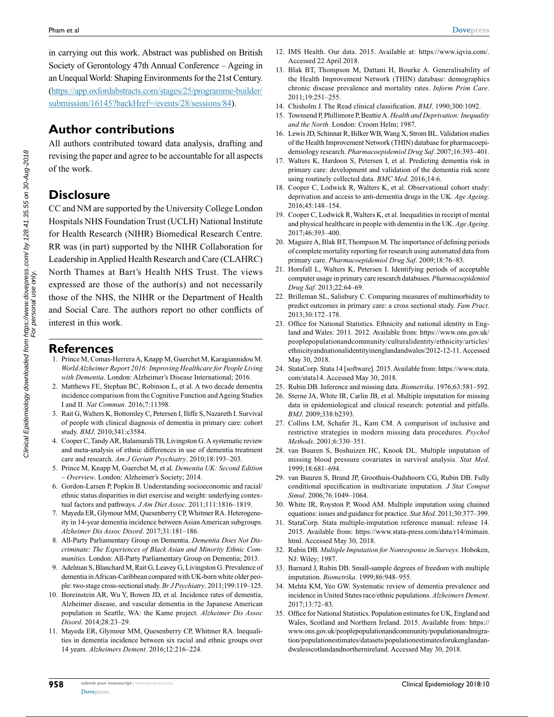in carrying out this work. Abstract was published on British Society of Gerontology 47th Annual Conference – Ageing in an Unequal World: Shaping Environments for the 21st Century. [\(https://app.oxfordabstracts.com/stages/25/programme-builder/](https://app.oxfordabstracts.com/stages/25/programme-builder/submission/16145?backHref=/events/28/sessions/84) [submission/16145?backHref=/events/28/sessions/84\)](https://app.oxfordabstracts.com/stages/25/programme-builder/submission/16145?backHref=/events/28/sessions/84).

# **Author contributions**

All authors contributed toward data analysis, drafting and revising the paper and agree to be accountable for all aspects of the work.

# **Disclosure**

CC and NM are supported by the University College London Hospitals NHS Foundation Trust (UCLH) National Institute for Health Research (NIHR) Biomedical Research Centre. RR was (in part) supported by the NIHR Collaboration for Leadership in Applied Health Research and Care (CLAHRC) North Thames at Bart's Health NHS Trust. The views expressed are those of the author(s) and not necessarily those of the NHS, the NIHR or the Department of Health and Social Care. The authors report no other conflicts of interest in this work.

#### **References**

- 1. Prince M, Comas-Herrera A, Knapp M, Guerchet M, Karagiannidou M. *World Alzheimer Report 2016: Improving Healthcare for People Living with Dementia*. London: Alzheimer's Disease International; 2016.
- 2. Matthews FE, Stephan BC, Robinson L, et al. A two decade dementia incidence comparison from the Cognitive Function and Ageing Studies I and II. *Nat Commun*. 2016;7:11398.
- 3. Rait G, Walters K, Bottomley C, Petersen I, Iliffe S, Nazareth I. Survival of people with clinical diagnosis of dementia in primary care: cohort study. *BMJ*. 2010;341:c3584.
- 4. Cooper C, Tandy AR, Balamurali TB, Livingston G. A systematic review and meta-analysis of ethnic differences in use of dementia treatment care and research. *Am J Geriatr Psychiatry*. 2010;18:193–203.
- 5. Prince M, Knapp M, Guerchet M, et al. *Dementia UK: Second Edition – Overview*. London: Alzheimer's Society; 2014.
- 6. Gordon-Larsen P, Popkin B. Understanding socioeconomic and racial/ ethnic status disparities in diet exercise and weight: underlying contextual factors and pathways. *J Am Diet Assoc*. 2011;111:1816–1819.
- 7. Mayeda ER, Glymour MM, Quesenberry CP, Whitmer RA. Heterogeneity in 14-year dementia incidence between Asian American subgroups. *Alzheimer Dis Assoc Disord*. 2017;31:181–186.
- 8. All-Party Parliamentary Group on Dementia. *Dementia Does Not Discriminate: The Experiences of Black Asian and Minority Ethnic Communities*. London: All-Party Parliamentary Group on Dementia; 2013.
- 9. Adelman S, Blanchard M, Rait G, Leavey G, Livingston G. Prevalence of dementia in African-Caribbean compared with UK-born white older people: two-stage cross-sectional study. *Br J Psychiatry*. 2011;199:119–125.
- 10. Boreinstein AR, Wu Y, Bowen JD, et al. Incidence rates of dementia, Alzheimer disease, and vascular dementia in the Japanese American population in Seattle, WA: the Kame project. *Alzheimer Dis Assoc Disord*. 2014;28:23–29.
- 11. Mayeda ER, Glymour MM, Quesenberry CP, Whitmer RA. Inequalities in dementia incidence between six racial and ethnic groups over 14 years. *Alzheimers Dement*. 2016;12:216–224.
- 12. IMS Health. Our data. 2015. Available at: https://www.iqvia.com/. Accessed 22 April 2018.
- 13. Blak BT, Thompson M, Dattani H, Bourke A. Generalisability of the Health Improvement Network (THIN) database: demographics chronic disease prevalence and mortality rates. *Inform Prim Care*. 2011;19:251–255.
- 14. Chisholm J. The Read clinical classification. *BMJ*. 1990;300:1092.
- 15. Townsend P, Phillimore P, Beattie A. *Health and Deprivation: Inequality and the North*. London: Croom Helm; 1987.
- 16. Lewis JD, Schinnar R, Bilker WB, Wang X, Strom BL. Validation studies of the Health Improvement Network (THIN) database for pharmacoepidemiology research. *Pharmacoepidemiol Drug Saf*. 2007;16:393–401.
- 17. Walters K, Hardoon S, Petersen I, et al. Predicting dementia risk in primary care: development and validation of the dementia risk score using routinely collected data. *BMC Med*. 2016;14:6.
- 18. Cooper C, Lodwick R, Walters K, et al. Observational cohort study: deprivation and access to anti-dementia drugs in the UK. *Age Ageing*. 2016;45:148–154.
- 19. Cooper C, Lodwick R, Walters K, et al. Inequalities in receipt of mental and physical healthcare in people with dementia in the UK. *Age Ageing*. 2017;46:393–400.
- 20. Maguire A, Blak BT, Thompson M. The importance of defining periods of complete mortality reporting for research using automated data from primary care. *Pharmacoepidemiol Drug Saf*. 2009;18:76–83.
- 21. Horsfall L, Walters K, Petersen I. Identifying periods of acceptable computer usage in primary care research databases. *Pharmacoepidemiol Drug Saf*. 2013;22:64–69.
- 22. Brilleman SL, Salisbury C. Comparing measures of multimorbidity to predict outcomes in primary care: a cross sectional study. *Fam Pract*. 2013;30:172–178.
- 23. Office for National Statistics. Ethnicity and national identity in England and Wales: 2011. 2012. Available from: https://www.ons.gov.uk/ peoplepopulationandcommunity/culturalidentity/ethnicity/articles/ ethnicityandnationalidentityinenglandandwales/2012-12-11. Accessed May 30, 2018.
- 24. StataCorp. Stata 14 [software]. 2015. Available from: https://www.stata. com/stata14. Accessed May 30, 2018.
- 25. Rubin DB. Inference and missing data. *Biometrika*. 1976;63:581–592.
- 26. Sterne JA, White IR, Carlin JB, et al. Multiple imputation for missing data in epidemiological and clinical research: potential and pitfalls. *BMJ*. 2009;338:b2393.
- 27. Collins LM, Schafer JL, Kam CM. A comparison of inclusive and restrictive strategies in modern missing data procedures. *Psychol Methods*. 2001;6:330–351.
- 28. van Buuren S, Boshuizen HC, Knook DL. Multiple imputation of missing blood pressure covariates in survival analysis. *Stat Med*. 1999;18:681–694.
- 29. van Buuren S, Brand JP, Groothuis-Oudshoorn CG, Rubin DB. Fully conditional specification in multivariate imputation. *J Stat Comput Simul*. 2006;76:1049–1064.
- 30. White IR, Royston P, Wood AM. Multiple imputation using chained equations: issues and guidance for practice. *Stat Med*. 2011;30:377–399.
- 31. StataCorp. Stata multiple-imputation reference manual: release 14. 2015. Available from: https://www.stata-press.com/data/r14/mimain. html. Accessed May 30, 2018.
- 32. Rubin DB. *Multiple Imputation for Nonresponse in Surveys*. Hoboken, NJ: Wiley; 1987.
- 33. Barnard J, Rubin DB. Small-sample degrees of freedom with multiple imputation. *Biometrika*. 1999;86:948–955.
- 34. Mehta KM, Yeo GW. Systematic review of dementia prevalence and incidence in United States race/ethnic populations. *Alzheimers Dement*. 2017;13:72–83.
- 35. Office for National Statistics. Population estimates for UK, England and Wales, Scotland and Northern Ireland. 2015. Available from: [https://](https://www.ons.gov.uk/peoplepopulationandcommunity/populationandmigration/populationestimates/datasets/populationestimatesforukenglandandwalesscotlandandnorthernireland) [www.ons.gov.uk/peoplepopulationandcommunity/populationandmigra](https://www.ons.gov.uk/peoplepopulationandcommunity/populationandmigration/populationestimates/datasets/populationestimatesforukenglandandwalesscotlandandnorthernireland)[tion/populationestimates/datasets/populationestimatesforukenglandan](https://www.ons.gov.uk/peoplepopulationandcommunity/populationandmigration/populationestimates/datasets/populationestimatesforukenglandandwalesscotlandandnorthernireland)[dwalesscotlandandnorthernireland](https://www.ons.gov.uk/peoplepopulationandcommunity/populationandmigration/populationestimates/datasets/populationestimatesforukenglandandwalesscotlandandnorthernireland). Accessed May 30, 2018.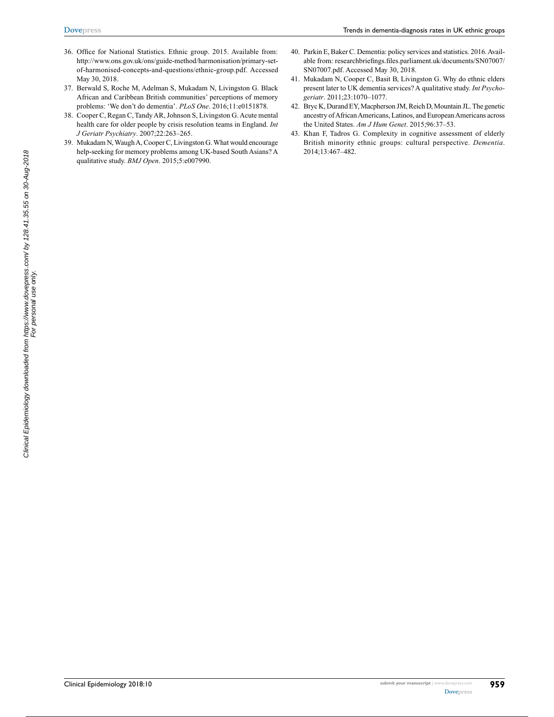- 36. Office for National Statistics. Ethnic group. 2015. Available from: http://www.ons.gov.uk/ons/guide-method/harmonisation/primary-setof-harmonised-concepts-and-questions/ethnic-group.pdf. Accessed May 30, 2018.
- 37. Berwald S, Roche M, Adelman S, Mukadam N, Livingston G. Black African and Caribbean British communities' perceptions of memory problems: 'We don't do dementia'. *PLoS One*. 2016;11:e0151878.
- 38. Cooper C, Regan C, Tandy AR, Johnson S, Livingston G. Acute mental health care for older people by crisis resolution teams in England. *Int J Geriatr Psychiatry*. 2007;22:263–265.
- 39. Mukadam N, Waugh A, Cooper C, Livingston G. What would encourage help-seeking for memory problems among UK-based South Asians? A qualitative study. *BMJ Open*. 2015;5:e007990.
- 40. Parkin E, Baker C. Dementia: policy services and statistics. 2016. Available from: researchbriefings.files.parliament.uk/documents/SN07007/ SN07007.pdf. Accessed May 30, 2018.
- 41. Mukadam N, Cooper C, Basit B, Livingston G. Why do ethnic elders present later to UK dementia services? A qualitative study. *Int Psychogeriatr*. 2011;23:1070–1077.
- 42. Bryc K, Durand EY, Macpherson JM, Reich D, Mountain JL. The genetic ancestry of African Americans, Latinos, and European Americans across the United States. *Am J Hum Genet*. 2015;96:37–53.
- 43. Khan F, Tadros G. Complexity in cognitive assessment of elderly British minority ethnic groups: cultural perspective. *Dementia*. 2014;13:467–482.